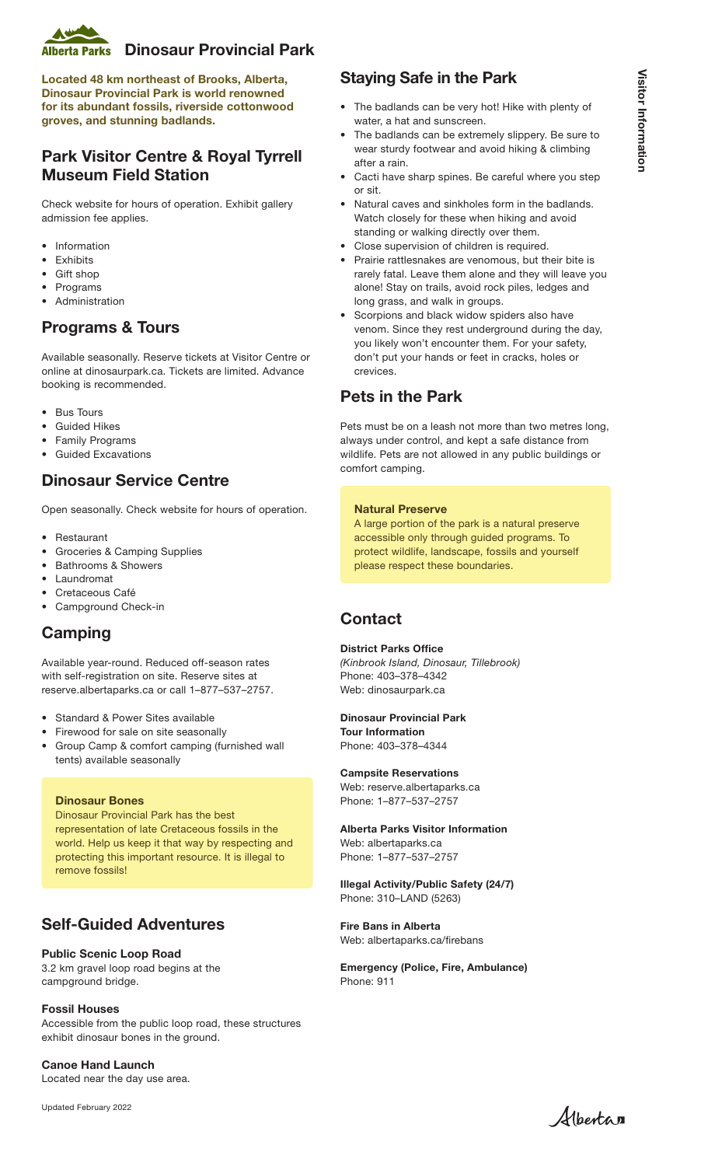

Located 48 km northeast of Brooks, Alberta, Dinosaur Provincial Park is world renowned for its abundant fossils, riverside cottonwood groves, and stunning badlands.

# Park Visitor Centre & Royal Tyrrell Museum Field Station

Check website for hours of operation. Exhibit gallery admission fee applies.

- Information
- Exhibits
- Gift shop
- **Programs**
- Administration

### Programs & Tours

Available seasonally. Reserve tickets at Visitor Centre or online at dinosaurpark.ca. Tickets are limited. Advance booking is recommended.

- Bus Tours
- **Guided Hikes**
- Family Programs
- Guided Excavations

### Dinosaur Service Centre

Open seasonally. Check website for hours of operation.

- Restaurant
- Groceries & Camping Supplies
- Bathrooms & Showers
- Laundromat
- Cretaceous Café
- Campground Check-in

## Camping

Available year-round. Reduced off-season rates with self-registration on site. Reserve sites at reserve.albertaparks.ca or call 1–877–537–2757.

#### • Standard & Power Sites available

- Firewood for sale on site seasonally
- Group Camp & comfort camping (furnished wall tents) available seasonally

#### Dinosaur Bones

Dinosaur Provincial Park has the best representation of late Cretaceous fossils in the world. Help us keep it that way by respecting and protecting this important resource. It is illegal to remove fossils!

# Self-Guided Adventures

### Public Scenic Loop Road

3.2 km gravel loop road begins at the campground bridge.

### Fossil Houses

Accessible from the public loop road, these structures exhibit dinosaur bones in the ground.

Canoe Hand Launch Located near the day use area.

Updated February 2022

# Staying Safe in the Park

- The badlands can be very hot! Hike with plenty of water, a hat and sunscreen.
- The badlands can be extremely slippery. Be sure to wear sturdy footwear and avoid hiking & climbing after a rain.
- Cacti have sharp spines. Be careful where you step or sit.
- Natural caves and sinkholes form in the badlands. Watch closely for these when hiking and avoid standing or walking directly over them.
- Close supervision of children is required.
- Prairie rattlesnakes are venomous, but their bite is rarely fatal. Leave them alone and they will leave you alone! Stay on trails, avoid rock piles, ledges and long grass, and walk in groups.
- Scorpions and black widow spiders also have venom. Since they rest underground during the day, you likely won't encounter them. For your safety, don't put your hands or feet in cracks, holes or crevices.

## Pets in the Park

Pets must be on a leash not more than two metres long, always under control, and kept a safe distance from wildlife. Pets are not allowed in any public buildings or comfort camping.

### Natural Preserve

A large portion of the park is a natural preserve accessible only through guided programs. To protect wildlife, landscape, fossils and yourself please respect these boundaries.

## **Contact**

### District Parks Office

*(Kinbrook Island, Dinosaur, Tillebrook)* Phone: 403–378–4342 Web: dinosaurpark.ca

### Dinosaur Provincial Park Tour Information

Phone: 403–378–4344

#### Campsite Reservations Web: reserve.albertaparks.ca Phone: 1–877–537–2757

Alberta Parks Visitor Information Web: albertaparks.ca Phone: 1–877–537–2757

Illegal Activity/Public Safety (24/7) Phone: 310–LAND (5263)

Fire Bans in Alberta Web: albertaparks.ca/firebans

Emergency (Police, Fire, Ambulance) Phone: 911